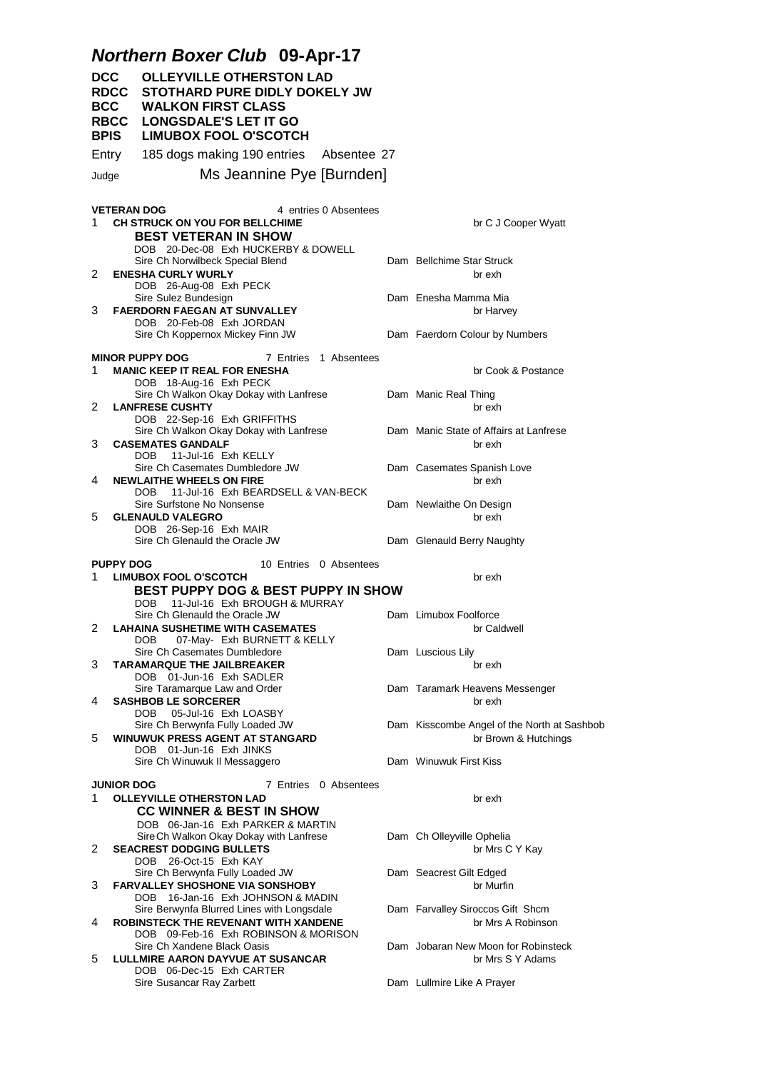|            |                                                  | <b>Northern Boxer Club 09-Apr-17</b>                                                                                                                                                    |                                                                                               |
|------------|--------------------------------------------------|-----------------------------------------------------------------------------------------------------------------------------------------------------------------------------------------|-----------------------------------------------------------------------------------------------|
| <b>DCC</b> | <b>RDCC</b><br>BCC<br><b>RBCC</b><br><b>BPIS</b> | <b>OLLEYVILLE OTHERSTON LAD</b><br>STOTHARD PURE DIDLY DOKELY JW<br><b>WALKON FIRST CLASS</b><br><b>LONGSDALE'S LET IT GO</b><br><b>LIMUBOX FOOL O'SCOTCH</b>                           |                                                                                               |
| Entry      |                                                  | 185 dogs making 190 entries Absentee 27                                                                                                                                                 |                                                                                               |
| Judge      |                                                  | Ms Jeannine Pye [Burnden]                                                                                                                                                               |                                                                                               |
| 1.         |                                                  | <b>VETERAN DOG</b><br>4 entries 0 Absentees<br>CH STRUCK ON YOU FOR BELLCHIME<br><b>BEST VETERAN IN SHOW</b><br>DOB 20-Dec-08 Exh HUCKERBY & DOWELL<br>Sire Ch Norwilbeck Special Blend | br C J Cooper Wyatt<br>Dam Bellchime Star Struck                                              |
| 2          |                                                  | <b>ENESHA CURLY WURLY</b><br>DOB 26-Aug-08 Exh PECK<br>Sire Sulez Bundesign                                                                                                             | br exh<br>Dam Enesha Mamma Mia                                                                |
| 3          |                                                  | <b>FAERDORN FAEGAN AT SUNVALLEY</b><br>DOB 20-Feb-08 Exh JORDAN<br>Sire Ch Koppernox Mickey Finn JW                                                                                     | br Harvey<br>Dam Faerdorn Colour by Numbers                                                   |
|            |                                                  | 7 Entries 1 Absentees<br><b>MINOR PUPPY DOG</b>                                                                                                                                         |                                                                                               |
| 1          |                                                  | <b>MANIC KEEP IT REAL FOR ENESHA</b><br>DOB 18-Aug-16 Exh PECK                                                                                                                          | br Cook & Postance                                                                            |
| 2          |                                                  | Sire Ch Walkon Okay Dokay with Lanfrese<br><b>LANFRESE CUSHTY</b><br>DOB 22-Sep-16 Exh GRIFFITHS                                                                                        | Dam Manic Real Thing<br>br exh                                                                |
| 3          |                                                  | Sire Ch Walkon Okay Dokay with Lanfrese<br><b>CASEMATES GANDALF</b><br>DOB 11-Jul-16 Exh KELLY                                                                                          | Dam Manic State of Affairs at Lanfrese<br>br exh                                              |
| 4          |                                                  | Sire Ch Casemates Dumbledore JW<br><b>NEWLAITHE WHEELS ON FIRE</b><br>DOB 11-Jul-16 Exh BEARDSELL & VAN-BECK                                                                            | Dam Casemates Spanish Love<br>br exh                                                          |
| 5          |                                                  | Sire Surfstone No Nonsense<br><b>GLENAULD VALEGRO</b>                                                                                                                                   | Dam Newlaithe On Design<br>br exh                                                             |
|            |                                                  | DOB 26-Sep-16 Exh MAIR<br>Sire Ch Glenauld the Oracle JW                                                                                                                                | Dam Glenauld Berry Naughty                                                                    |
| 1.         | <b>PUPPY DOG</b>                                 | 10 Entries 0 Absentees<br><b>LIMUBOX FOOL O'SCOTCH</b>                                                                                                                                  | br exh                                                                                        |
|            |                                                  | <b>BEST PUPPY DOG &amp; BEST PUPPY IN SHOW</b><br>11-Jul-16 Exh BROUGH & MURRAY<br>DOB                                                                                                  |                                                                                               |
| 2          |                                                  | Sire Ch Glenauld the Oracle JW<br><b>LAHAINA SUSHETIME WITH CASEMATES</b><br>07-May- Exh BURNETT & KELLY                                                                                | Dam Limubox Foolforce<br>br Caldwell                                                          |
| 3          |                                                  | DOB.<br>Sire Ch Casemates Dumbledore<br><b>TARAMARQUE THE JAILBREAKER</b><br>DOB 01-Jun-16 Exh SADLER                                                                                   | Dam Luscious Lily<br>br exh                                                                   |
| 4          |                                                  | Sire Taramarque Law and Order<br><b>SASHBOB LE SORCERER</b><br>DOB 05-Jul-16 Exh LOASBY                                                                                                 | Dam Taramark Heavens Messenger<br>br exh                                                      |
| 5          |                                                  | Sire Ch Berwynfa Fully Loaded JW<br>WINUWUK PRESS AGENT AT STANGARD<br>DOB 01-Jun-16 Exh JINKS<br>Sire Ch Winuwuk II Messaggero                                                         | Dam Kisscombe Angel of the North at Sashbob<br>br Brown & Hutchings<br>Dam Winuwuk First Kiss |
|            |                                                  |                                                                                                                                                                                         |                                                                                               |
| 1.         | <b>JUNIOR DOG</b>                                | 7 Entries 0 Absentees<br><b>OLLEYVILLE OTHERSTON LAD</b><br><b>CC WINNER &amp; BEST IN SHOW</b>                                                                                         | br exh                                                                                        |
| 2          |                                                  | DOB 06-Jan-16 Exh PARKER & MARTIN<br>Sire Ch Walkon Okay Dokay with Lanfrese<br><b>SEACREST DODGING BULLETS</b>                                                                         | Dam Ch Olleyville Ophelia<br>br Mrs C Y Kay                                                   |
| 3          |                                                  | DOB 26-Oct-15 Exh KAY<br>Sire Ch Berwynfa Fully Loaded JW<br><b>FARVALLEY SHOSHONE VIA SONSHOBY</b>                                                                                     | Dam Seacrest Gilt Edged<br>br Murfin                                                          |
| 4          |                                                  | DOB 16-Jan-16 Exh JOHNSON & MADIN<br>Sire Berwynfa Blurred Lines with Longsdale<br><b>ROBINSTECK THE REVENANT WITH XANDENE</b>                                                          | Dam Farvalley Siroccos Gift Shcm<br>br Mrs A Robinson                                         |
| 5          |                                                  | DOB 09-Feb-16 Exh ROBINSON & MORISON<br>Sire Ch Xandene Black Oasis<br><b>LULLMIRE AARON DAYVUE AT SUSANCAR</b>                                                                         | Dam Jobaran New Moon for Robinsteck<br>br Mrs S Y Adams                                       |
|            |                                                  | DOB 06-Dec-15 Exh CARTER<br>Sire Susancar Ray Zarbett                                                                                                                                   | Dam Lullmire Like A Prayer                                                                    |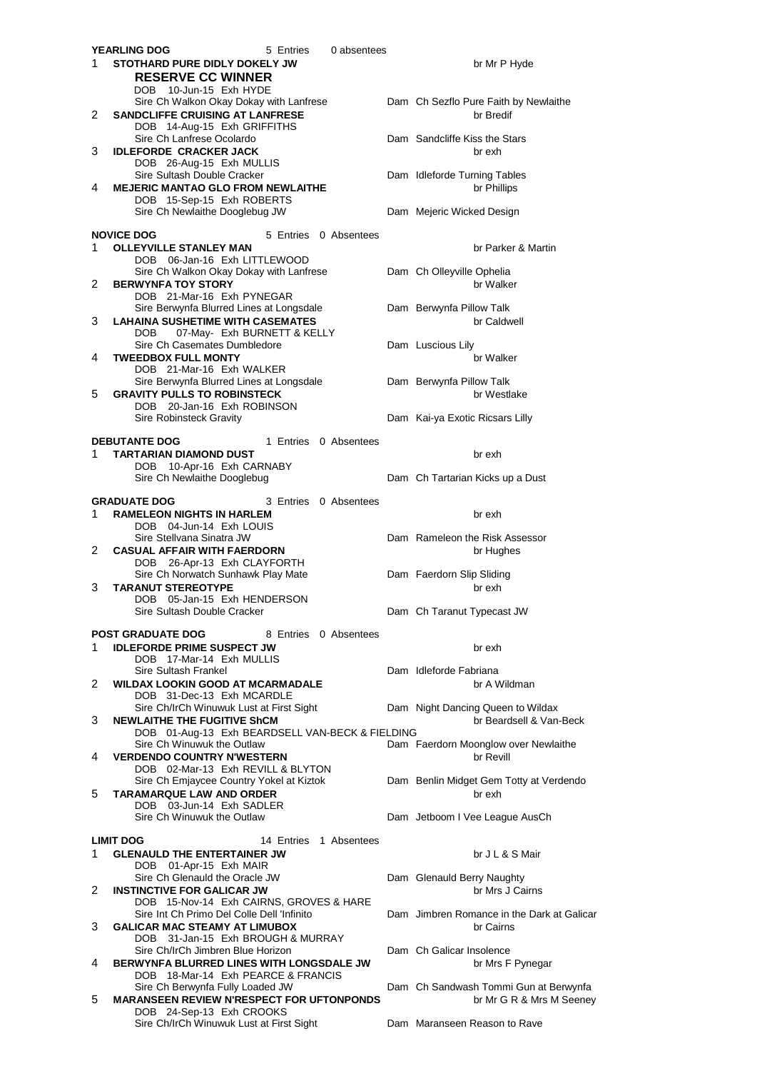|    | <b>YEARLING DOG</b>                                                                                                        | 5 Entries              | 0 absentees |                                                                   |
|----|----------------------------------------------------------------------------------------------------------------------------|------------------------|-------------|-------------------------------------------------------------------|
| 1. | STOTHARD PURE DIDLY DOKELY JW<br><b>RESERVE CC WINNER</b><br>DOB 10-Jun-15 Exh HYDE                                        |                        |             | br Mr P Hyde                                                      |
| 2  | Sire Ch Walkon Okay Dokay with Lanfrese<br>SANDCLIFFE CRUISING AT LANFRESE<br>DOB 14-Aug-15 Exh GRIFFITHS                  |                        |             | Dam Ch Sezflo Pure Faith by Newlaithe<br>br Bredif                |
| 3  | Sire Ch Lanfrese Ocolardo<br><b>IDLEFORDE CRACKER JACK</b><br>DOB 26-Aug-15 Exh MULLIS                                     |                        |             | Dam Sandcliffe Kiss the Stars<br>br exh                           |
| 4  | Sire Sultash Double Cracker<br><b>MEJERIC MANTAO GLO FROM NEWLAITHE</b><br>DOB 15-Sep-15 Exh ROBERTS                       |                        |             | Dam Idleforde Turning Tables<br>br Phillips                       |
|    | Sire Ch Newlaithe Dooglebug JW                                                                                             |                        |             | Dam Mejeric Wicked Design                                         |
| 1. | <b>NOVICE DOG</b><br><b>OLLEYVILLE STANLEY MAN</b>                                                                         | 5 Entries 0 Absentees  |             | br Parker & Martin                                                |
| 2  | DOB 06-Jan-16 Exh LITTLEWOOD<br>Sire Ch Walkon Okay Dokay with Lanfrese<br><b>BERWYNFA TOY STORY</b>                       |                        |             | Dam Ch Olleyville Ophelia<br>br Walker                            |
|    | DOB 21-Mar-16 Exh PYNEGAR<br>Sire Berwynfa Blurred Lines at Longsdale                                                      |                        |             | Dam Berwynfa Pillow Talk                                          |
| 3  | <b>LAHAINA SUSHETIME WITH CASEMATES</b><br>07-May- Exh BURNETT & KELLY<br>DOB.                                             |                        |             | br Caldwell                                                       |
| 4  | Sire Ch Casemates Dumbledore<br><b>TWEEDBOX FULL MONTY</b><br>DOB 21-Mar-16 Exh WALKER                                     |                        |             | Dam Luscious Lily<br>br Walker                                    |
| 5  | Sire Berwynfa Blurred Lines at Longsdale<br><b>GRAVITY PULLS TO ROBINSTECK</b>                                             |                        |             | Dam Berwynfa Pillow Talk<br>br Westlake                           |
|    | DOB 20-Jan-16 Exh ROBINSON<br><b>Sire Robinsteck Gravity</b>                                                               |                        |             | Dam Kai-ya Exotic Ricsars Lilly                                   |
| 1. | <b>DEBUTANTE DOG</b><br><b>TARTARIAN DIAMOND DUST</b>                                                                      | 1 Entries 0 Absentees  |             | br exh                                                            |
|    | DOB 10-Apr-16 Exh CARNABY<br>Sire Ch Newlaithe Dooglebug                                                                   |                        |             | Dam Ch Tartarian Kicks up a Dust                                  |
| 1  | <b>GRADUATE DOG</b><br><b>RAMELEON NIGHTS IN HARLEM</b>                                                                    | 3 Entries 0 Absentees  |             | br exh                                                            |
|    | DOB 04-Jun-14 Exh LOUIS<br>Sire Stellvana Sinatra JW                                                                       |                        |             | Dam Rameleon the Risk Assessor                                    |
| 2  | <b>CASUAL AFFAIR WITH FAERDORN</b><br>DOB 26-Apr-13 Exh CLAYFORTH                                                          |                        |             | br Hughes                                                         |
| 3  | Sire Ch Norwatch Sunhawk Play Mate<br><b>TARANUT STEREOTYPE</b>                                                            |                        |             | Dam Faerdorn Slip Sliding<br>br exh                               |
|    | DOB 05-Jan-15 Exh HENDERSON<br>Sire Sultash Double Cracker                                                                 |                        |             | Dam Ch Taranut Typecast JW                                        |
|    | <b>POST GRADUATE DOG</b>                                                                                                   | 8 Entries 0 Absentees  |             |                                                                   |
| 1. | <b>IDLEFORDE PRIME SUSPECT JW</b><br>DOB 17-Mar-14 Exh MULLIS                                                              |                        |             | br exh                                                            |
| 2  | Sire Sultash Frankel<br><b>WILDAX LOOKIN GOOD AT MCARMADALE</b><br>DOB 31-Dec-13 Exh MCARDLE                               |                        |             | Dam Idleforde Fabriana<br>br A Wildman                            |
| 3  | Sire Ch/IrCh Winuwuk Lust at First Sight<br><b>NEWLAITHE THE FUGITIVE ShCM</b>                                             |                        |             | Dam Night Dancing Queen to Wildax<br>br Beardsell & Van-Beck      |
| 4  | DOB 01-Aug-13 Exh BEARDSELL VAN-BECK & FIELDING<br>Sire Ch Winuwuk the Outlaw<br><b>VERDENDO COUNTRY N'WESTERN</b>         |                        |             | Dam Faerdorn Moonglow over Newlaithe<br>br Revill                 |
| 5  | DOB 02-Mar-13 Exh REVILL & BLYTON<br>Sire Ch Emjaycee Country Yokel at Kiztok<br><b>TARAMARQUE LAW AND ORDER</b>           |                        |             | Dam Benlin Midget Gem Totty at Verdendo<br>br exh                 |
|    | DOB 03-Jun-14 Exh SADLER<br>Sire Ch Winuwuk the Outlaw                                                                     |                        |             | Dam Jetboom I Vee League AusCh                                    |
|    | <b>LIMIT DOG</b>                                                                                                           | 14 Entries 1 Absentees |             |                                                                   |
| 1. | <b>GLENAULD THE ENTERTAINER JW</b><br>DOB 01-Apr-15 Exh MAIR                                                               |                        |             | br J L & S Mair                                                   |
| 2  | Sire Ch Glenauld the Oracle JW<br><b>INSTINCTIVE FOR GALICAR JW</b><br>DOB 15-Nov-14 Exh CAIRNS, GROVES & HARE             |                        |             | Dam Glenauld Berry Naughty<br>br Mrs J Cairns                     |
| 3  | Sire Int Ch Primo Del Colle Dell 'Infinito<br><b>GALICAR MAC STEAMY AT LIMUBOX</b>                                         |                        |             | Dam Jimbren Romance in the Dark at Galicar<br>br Cairns           |
| 4  | DOB 31-Jan-15 Exh BROUGH & MURRAY<br>Sire Ch/IrCh Jimbren Blue Horizon<br><b>BERWYNFA BLURRED LINES WITH LONGSDALE JW</b>  |                        |             | Dam Ch Galicar Insolence<br>br Mrs F Pynegar                      |
| 5  | DOB 18-Mar-14 Exh PEARCE & FRANCIS<br>Sire Ch Berwynfa Fully Loaded JW<br><b>MARANSEEN REVIEW N'RESPECT FOR UFTONPONDS</b> |                        |             | Dam Ch Sandwash Tommi Gun at Berwynfa<br>br Mr G R & Mrs M Seeney |
|    | DOB 24-Sep-13 Exh CROOKS<br>Sire Ch/IrCh Winuwuk Lust at First Sight                                                       |                        |             | Dam Maranseen Reason to Rave                                      |
|    |                                                                                                                            |                        |             |                                                                   |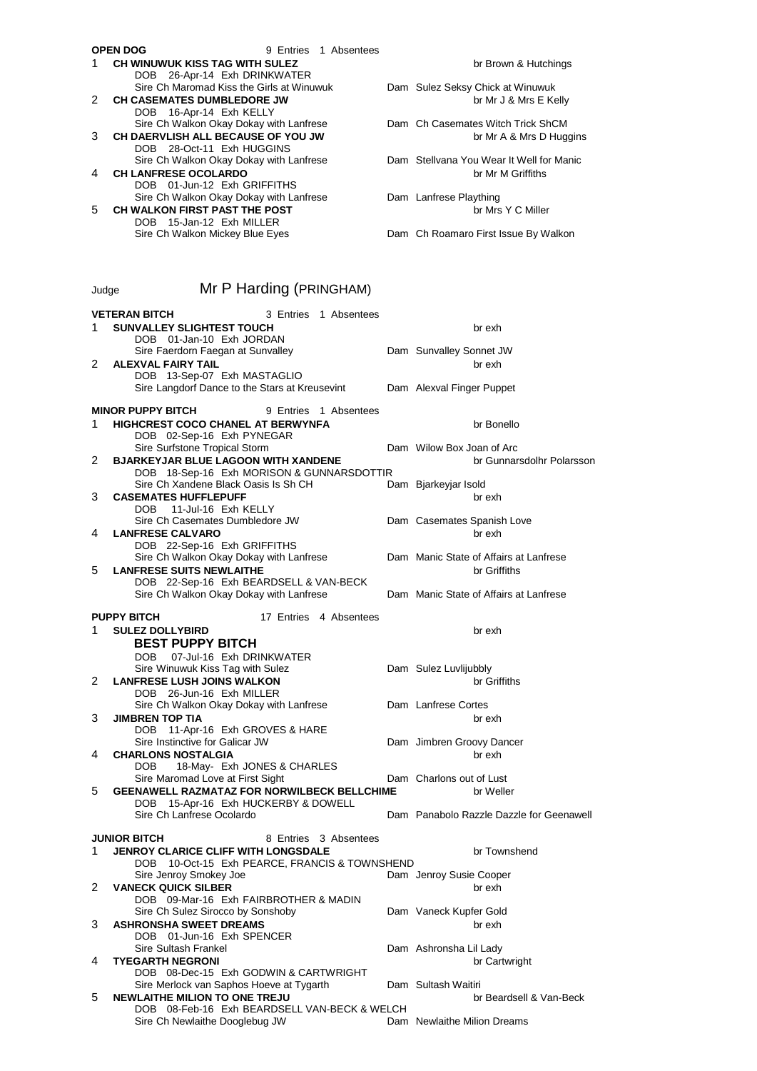**OPEN DOG** 9 Entries 1 Absentees **1 CH WINUWUK KISS TAG WITH SULEZ** br Brown & Hutchings DOB 26-Apr-14 Exh DRINKWATER Sire Ch Maromad Kiss the Girls at Winuwuk Dam Sulez Seksy Chick at Winuwuk **CH CASEMATES DUMBLEDORE JW br Mr J & Mrs E Kelly** br Mr J & Mrs E Kelly DOB 16-Apr-14 Exh KELLY Sire Ch Walkon Okay Dokay with Lanfrese Dam Ch Casemates Witch Trick ShCM 3 **CH DAERVLISH ALL BECAUSE OF YOU JW** br Mr A & Mrs D Huggins DOB 28-Oct-11 Exh HUGGINS Sire Ch Walkon Okay Dokay with Lanfrese Dam Stellvana You Wear It Well for Manic 4 **CH LANFRESE OCOLARDO br Mr M Griffiths** DOB 01-Jun-12 Exh GRIFFITHS Sire Ch Walkon Okay Dokay with Lanfrese Dam Lanfrese Plaything 5 **CH WALKON FIRST PAST THE POST br Mrs Y C Miller** DOB 15-Jan-12 Exh MILLER Sire Ch Walkon Mickey Blue Eyes **Dam Ch Roamaro First Issue By Walkon** Judge Mr P Harding (PRINGHAM) **VETERAN BITCH** 3 Entries 1 Absentees 1 **SUNVALLEY SLIGHTEST TOUCH** brexh DOB 01-Jan-10 Exh JORDAN Sire Faerdorn Faegan at Sunvalley Dam Sunvalley Sonnet JW 2 **ALEXVAL FAIRY TAIL brack and a set of the set of the set of the set of the set of the set of the set of the set of the set of the set of the set of the set of the set of the set of the set of the set of the set of the** DOB 13-Sep-07 Exh MASTAGLIO Sire Langdorf Dance to the Stars at Kreusevint Dam Alexval Finger Puppet **MINOR PUPPY BITCH** 9 Entries 1 Absentees **HIGHCREST COCO CHANEL AT BERWYNFA** br Bonello DOB 02-Sep-16 Exh PYNEGAR Sire Surfstone Tropical Storm **Dam Wilow Box Joan of Arc** 2 **BJARKEYJAR BLUE LAGOON WITH XANDENE** br Gunnarsdolhr Polarsson DOB 18-Sep-16 Exh MORISON & GUNNARSDOTTIR Sire Ch Xandene Black Oasis Is Sh CH Dam Bjarkeyjar Isold 3 **CASEMATES HUFFLEPUFF** br exh DOB 11-Jul-16 Exh KELLY Sire Ch Casemates Dumbledore JW Dam Casemates Spanish Love **LANFRESE CALVARO** brexh DOB 22-Sep-16 Exh GRIFFITHS<br>Sire Ch Walkon Okav Dokav with Lanfrese Dam Manic State of Affairs at Lanfrese 5 **LANFRESE SUITS NEWLAITHE** br Griffiths DOB 22-Sep-16 Exh BEARDSELL & VAN-BECK Sire Ch Walkon Okay Dokay with Lanfrese Dam Manic State of Affairs at Lanfrese **PUPPY BITCH** 17 Entries 4 Absentees **1 SULEZ DOLLYBIRD** br exh **BEST PUPPY BITCH** DOB 07-Jul-16 Exh DRINKWATER Sire Winuwuk Kiss Tag with Sulez **Dam Sulez Luvlijubbly 2 LANFRESE LUSH JOINS WALKON branch and a set of the set of the set of the set of the set of the set of the set of the set of the set of the set of the set of the set of the set of the set of the set of the set of the s** DOB 26-Jun-16 Exh MILLER Sire Ch Walkon Okay Dokay with Lanfrese Dam Lanfrese Cortes **3 JIMBREN TOP TIA** br exh DOB 11-Apr-16 Exh GROVES & HARE<br>Sire Instinctive for Galicar JW Dam Jimbren Groovy Dancer 4 **CHARLONS NOSTALGIA** brexh<br>DOB 18-May- Exh JONES & CHARLES 18-May- Exh JONES & CHARLES Sire Maromad Love at First Sight Dam Charlons out of Lust 5 **GEENAWELL RAZMATAZ FOR NORWILBECK BELLCHIME** br Weller DOB 15-Apr-16 Exh HUCKERBY & DOWELL<br>Sire Ch Lanfrese Ocolardo Dam Panabolo Razzle Dazzle for Geenawell **JUNIOR BITCH** 8 Entries 3 Absentees 1 **JENROY CLARICE CLIFF WITH LONGSDALE** br Townshend DOB 10-Oct-15 Exh PEARCE, FRANCIS & TOWNSHEND<br>Sire Jenroy Smokey Joe Dam Jenroy Susie Cooper **2 VANECK QUICK SILBER** br exh DOB 09-Mar-16 Exh FAIRBROTHER & MADIN Sire Ch Sulez Sirocco by Sonshoby Dam Vaneck Kupfer Gold **3 ASHRONSHA SWEET DREAMS** brexh DOB 01-Jun-16 Exh SPENCER Sire Sultash Frankel **Dam Ashronsha Lil Lady** 4 **TYEGARTH NEGRONI** br Cartwright DOB 08-Dec-15 Exh GODWIN & CARTWRIGHT Sire Merlock van Saphos Hoeve at Tygarth Dam Sultash Waitiri 5 **NEWLAITHE MILION TO ONE TREJU** DOB 08-Feb-16 Exh BEARDSELL VAN-BECK & WELCH<br>Sire Ch Newlaithe Dooglebug JW Dam Newlaithe Milion Dreams Sire Ch Newlaithe Dooglebug JW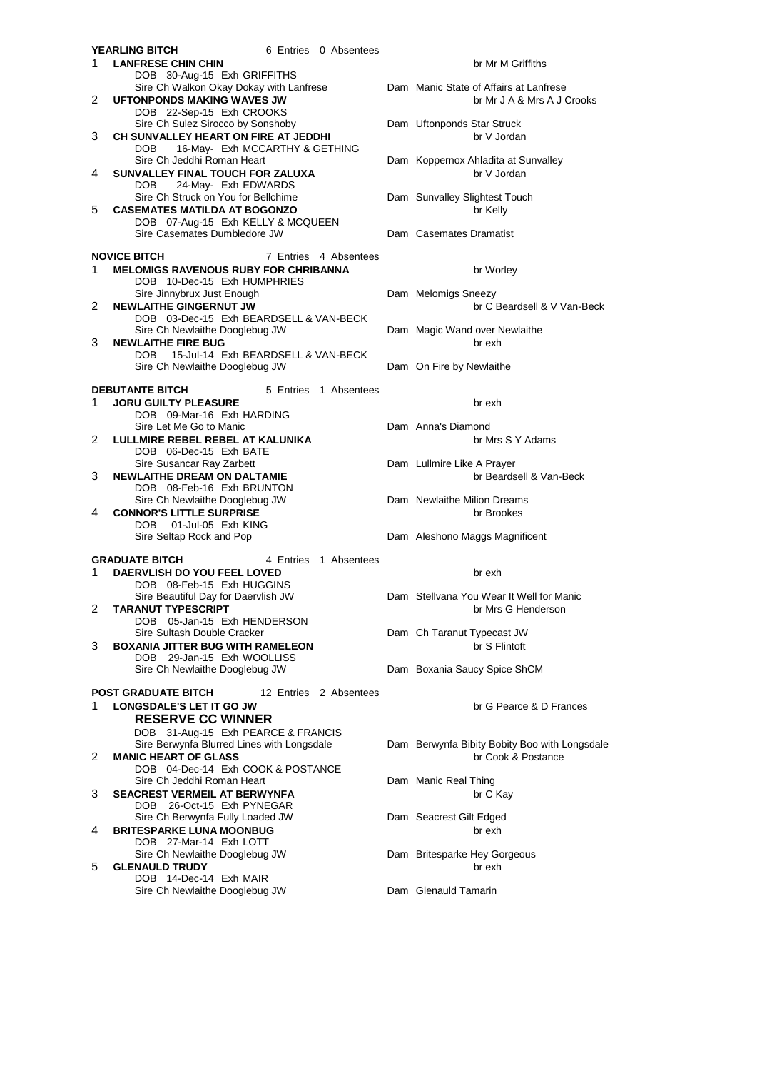|    | <b>YEARLING BITCH</b><br>6 Entries 0 Absentees       |             |                            |
|----|------------------------------------------------------|-------------|----------------------------|
| 1. | <b>LANFRESE CHIN CHIN</b>                            |             | br Mr M+                   |
|    | DOB 30-Aug-15 Exh GRIFFITHS                          |             |                            |
|    | Sire Ch Walkon Okay Dokay with Lanfrese              |             | Dam Manic State of Affairs |
| 2  | <b>UFTONPONDS MAKING WAVES JW</b>                    |             | br Mr J A                  |
|    | DOB 22-Sep-15 Exh CROOKS                             |             |                            |
|    | Sire Ch Sulez Sirocco by Sonshoby                    |             | Dam Uftonponds Star Strue  |
| 3  | CH SUNVALLEY HEART ON FIRE AT JEDDHI                 |             | br V Jord                  |
|    | 16-May- Exh MCCARTHY & GETHING<br>DOB.               |             |                            |
|    | Sire Ch Jeddhi Roman Heart                           |             | Dam Koppernox Ahladita a   |
| 4  | SUNVALLEY FINAL TOUCH FOR ZALUXA                     |             | br V Jord                  |
|    | 24-May- Exh EDWARDS<br>DOB.                          |             |                            |
|    | Sire Ch Struck on You for Bellchime                  |             | Dam Sunvalley Slightest To |
| 5  | <b>CASEMATES MATILDA AT BOGONZO</b>                  |             | br Kelly                   |
|    | DOB 07-Aug-15 Exh KELLY & MCQUEEN                    |             |                            |
|    | Sire Casemates Dumbledore JW                         |             | Dam Casemates Dramatist    |
|    |                                                      |             |                            |
|    | <b>NOVICE BITCH</b><br>7 Entries 4 Absentees         |             |                            |
| 1. | MELOMIGS RAVENOUS RUBY FOR CHRIBANNA                 |             | br Worle                   |
|    | DOB 10-Dec-15 Exh HUMPHRIES                          |             |                            |
|    | Sire Jinnybrux Just Enough                           |             | Dam Melomigs Sneezy        |
| 2  | <b>NEWLAITHE GINGERNUT JW</b>                        |             | br C Bea                   |
|    | DOB 03-Dec-15 Exh BEARDSELL & VAN-BECK               |             |                            |
|    | Sire Ch Newlaithe Dooglebug JW                       |             | Dam Magic Wand over Nev    |
| 3  | <b>NEWLAITHE FIRE BUG</b>                            |             | br exh                     |
|    | DOB 15-Jul-14 Exh BEARDSELL & VAN-BECK               |             |                            |
|    | Sire Ch Newlaithe Dooglebug JW                       |             | Dam On Fire by Newlaithe   |
|    |                                                      |             |                            |
|    | <b>DEBUTANTE BITCH</b><br>5 Entries 1 Absentees      |             |                            |
| 1. | <b>JORU GUILTY PLEASURE</b>                          |             | br exh                     |
|    | DOB 09-Mar-16 Exh HARDING                            |             |                            |
|    | Sire Let Me Go to Manic                              |             | Dam Anna's Diamond         |
| 2  | LULLMIRE REBEL REBEL AT KALUNIKA                     |             | br Mrs S                   |
|    | DOB 06-Dec-15 Exh BATE                               |             |                            |
|    | Sire Susancar Ray Zarbett                            |             | Dam Lullmire Like A Praye  |
| 3  | <b>NEWLAITHE DREAM ON DALTAMIE</b>                   |             | br Beard                   |
|    | DOB 08-Feb-16 Exh BRUNTON                            |             |                            |
|    | Sire Ch Newlaithe Dooglebug JW                       |             | Dam Newlaithe Milion Drea  |
| 4  | <b>CONNOR'S LITTLE SURPRISE</b>                      |             | br Brook                   |
|    | DOB 01-Jul-05 Exh KING                               |             |                            |
|    | Sire Seltap Rock and Pop                             |             | Dam Aleshono Maggs Mag     |
|    |                                                      |             |                            |
|    | <b>GRADUATE BITCH</b><br>4 Entries                   | 1 Absentees |                            |
| 1. | DAERVLISH DO YOU FEEL LOVED                          |             | br exh                     |
|    | DOB 08-Feb-15 Exh HUGGINS                            |             |                            |
|    | Sire Beautiful Day for Daervlish JW                  |             | Dam Stellvana You Wear It  |
| 2  | <b>TARANUT TYPESCRIPT</b>                            |             | br Mrs G                   |
|    | DOB 05-Jan-15 Exh HENDERSON                          |             |                            |
|    | Sire Sultash Double Cracker                          |             | Dam Ch Taranut Typecast    |
| 3. | <b>BOXANIA JITTER BUG WITH RAMELEON</b>              |             | br S Flin                  |
|    | DOB 29-Jan-15 Exh WOOLLISS                           |             |                            |
|    | Sire Ch Newlaithe Dooglebug JW                       |             | Dam Boxania Saucy Spice    |
|    |                                                      |             |                            |
|    | <b>POST GRADUATE BITCH</b><br>12 Entries 2 Absentees |             |                            |
| 1. | <b>LONGSDALE'S LET IT GO JW</b>                      |             | br G Pea                   |
|    | <b>RESERVE CC WINNER</b>                             |             |                            |
|    | DOB 31-Aug-15 Exh PEARCE & FRANCIS                   |             |                            |
|    | Sire Berwynfa Blurred Lines with Longsdale           |             | Dam Berwynfa Bibity Bobit  |
| 2  | <b>MANIC HEART OF GLASS</b>                          |             | br Cook                    |
|    | DOB 04-Dec-14 Exh COOK & POSTANCE                    |             |                            |
|    | Sire Ch Jeddhi Roman Heart                           |             | Dam Manic Real Thing       |
| 3  | <b>SEACREST VERMEIL AT BERWYNFA</b>                  |             | br C Kay                   |
|    | DOB 26-Oct-15 Exh PYNEGAR                            |             |                            |
|    | Sire Ch Berwynfa Fully Loaded JW                     |             | Dam Seacrest Gilt Edged    |
| 4  | <b>BRITESPARKE LUNA MOONBUG</b>                      |             | br exh                     |
|    | DOB 27-Mar-14 Exh LOTT                               |             |                            |
|    | Sire Ch Newlaithe Dooglebug JW                       |             | Dam Britesparke Hey Gorg   |
| 5  | <b>GLENAULD TRUDY</b>                                |             | br exh                     |
|    | DOB 14-Dec-14 Exh MAIR                               |             |                            |
|    | Sire Ch Newlaithe Dooglebug JW                       |             | Dam Glenauld Tamarin       |
|    |                                                      |             |                            |
|    |                                                      |             |                            |

br Mr M Griffiths

- Dam Manic State of Affairs at Lanfrese br Mr J A & Mrs A J Crooks
- Dam Uftonponds Star Struck br V Jordan
- Dam Koppernox Ahladita at Sunvalley br V Jordan
- Dam Sunvalley Slightest Touch
- Dam Casemates Dramatist

br Worley

- Dam Melomigs Sneezy br C Beardsell & V Van-Beck
- Dam Magic Wand over Newlaithe<br>brexh
- Dam On Fire by Newlaithe

- Dam Anna's Diamond br Mrs S Y Adams
- Dam Lullmire Like A Prayer **br Beardsell & Van-Beck**
- Dam Newlaithe Milion Dreams br Brookes
- Dam Aleshono Maggs Magnificent

Dam Stellvana You Wear It Well for Manic br Mrs G Henderson

- Dam Ch Taranut Typecast JW br S Flintoft
- Dam Boxania Saucy Spice ShCM

## br G Pearce & D Frances

- Dam Berwynfa Bibity Bobity Boo with Longsdale br Cook & Postance
- Dam Manic Real Thing
- Dam Seacrest Gilt Edged
- Dam Britesparke Hey Gorgeous
- Dam Glenauld Tamarin